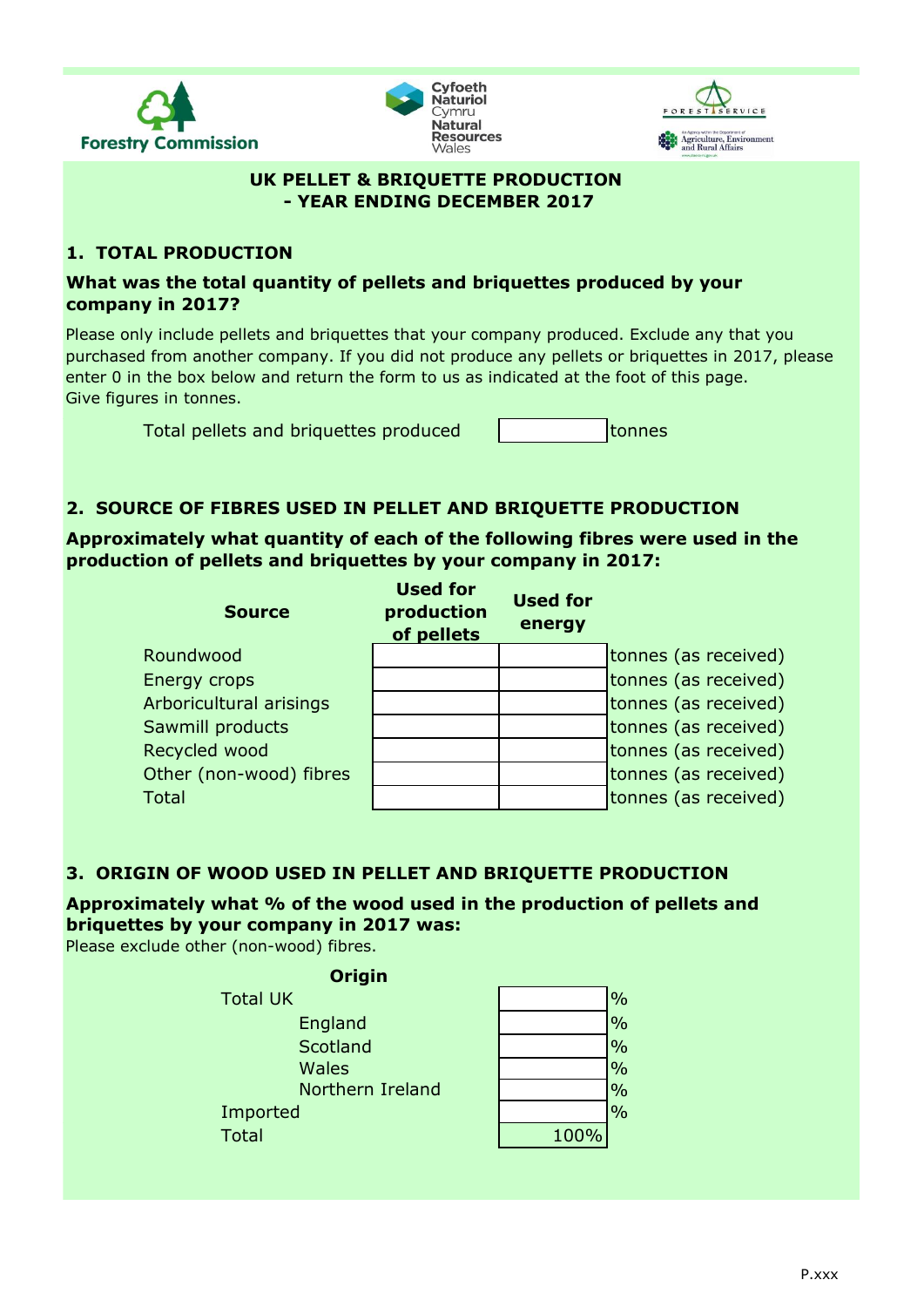





#### **UK PELLET & BRIQUETTE PRODUCTION - YEAR ENDING DECEMBER 2017**

## **1. TOTAL PRODUCTION**

## **What was the total quantity of pellets and briquettes produced by your company in 2017?**

Please only include pellets and briquettes that your company produced. Exclude any that you purchased from another company. If you did not produce any pellets or briquettes in 2017, please enter 0 in the box below and return the form to us as indicated at the foot of this page. Give figures in tonnes.

Total pellets and briquettes produced to the tonnes

## **2. SOURCE OF FIBRES USED IN PELLET AND BRIQUETTE PRODUCTION**

**Approximately what quantity of each of the following fibres were used in the production of pellets and briquettes by your company in 2017:**

| <b>Source</b>           | <b>Used for</b><br>production<br>of pellets | <b>Used for</b><br>energy |                      |
|-------------------------|---------------------------------------------|---------------------------|----------------------|
| Roundwood               |                                             |                           | tonnes (as received) |
| Energy crops            |                                             |                           | tonnes (as received) |
| Arboricultural arisings |                                             |                           | tonnes (as received) |
| Sawmill products        |                                             |                           | tonnes (as received) |
| Recycled wood           |                                             |                           | tonnes (as received) |
| Other (non-wood) fibres |                                             |                           | tonnes (as received) |
| <b>Total</b>            |                                             |                           | tonnes (as received) |

## **3. ORIGIN OF WOOD USED IN PELLET AND BRIQUETTE PRODUCTION**

# **Approximately what % of the wood used in the production of pellets and briquettes by your company in 2017 was:**

Please exclude other (non-wood) fibres.

| <b>Origin</b>    |      |               |
|------------------|------|---------------|
| <b>Total UK</b>  |      | $\frac{0}{0}$ |
| England          |      | $\frac{0}{0}$ |
| Scotland         |      | $\frac{0}{0}$ |
| <b>Wales</b>     |      | $\frac{0}{0}$ |
| Northern Ireland |      | $\frac{0}{0}$ |
| Imported         |      | $\frac{0}{0}$ |
| <b>Total</b>     | 100% |               |
|                  |      |               |